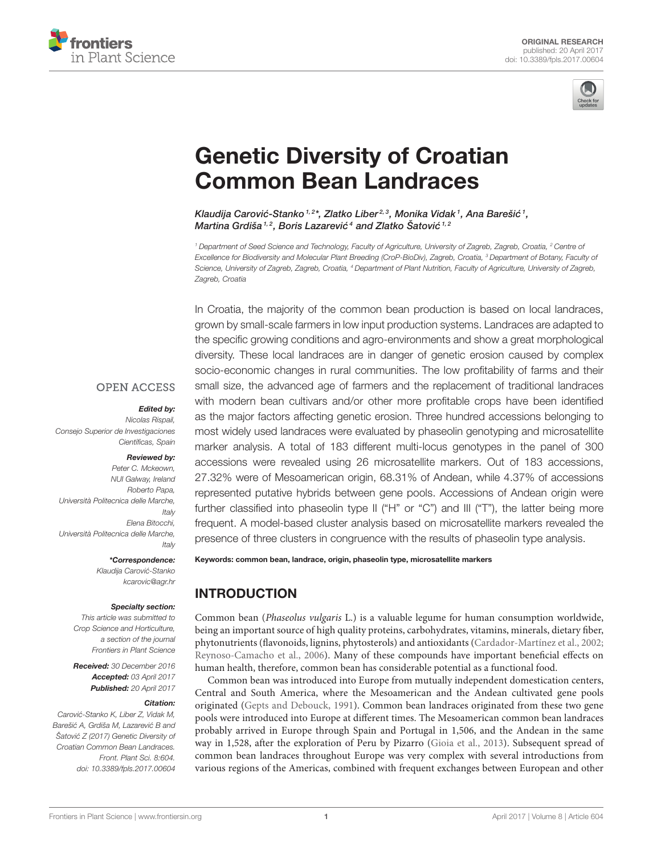



# [Genetic Diversity of Croatian](http://journal.frontiersin.org/article/10.3389/fpls.2017.00604/abstract) Common Bean Landraces

Klaudija Carović-Stanko 1,2\*, [Zlatko Liber](http://loop.frontiersin.org/people/412682/overview)<sup>2,3</sup>, [Monika Vidak](http://loop.frontiersin.org/people/426042/overview) <sup>1</sup>, Ana Barešić <sup>1</sup>, [Martina Grdiša](http://loop.frontiersin.org/people/430652/overview)<sup>1,2</sup>, Boris Lazarević<sup>4</sup> and Zlatko Šatović<sup>1,2</sup>

<sup>1</sup> Department of Seed Science and Technology, Faculty of Agriculture, University of Zagreb, Zagreb, Croatia, <sup>2</sup> Centre of Excellence for Biodiversity and Molecular Plant Breeding (CroP-BioDiv), Zagreb, Croatia, <sup>3</sup> Department of Botany, Faculty of Science, University of Zagreb, Zagreb, Croatia, <sup>4</sup> Department of Plant Nutrition, Faculty of Agriculture, University of Zagreb, Zagreb, Croatia

In Croatia, the majority of the common bean production is based on local landraces, grown by small-scale farmers in low input production systems. Landraces are adapted to the specific growing conditions and agro-environments and show a great morphological diversity. These local landraces are in danger of genetic erosion caused by complex socio-economic changes in rural communities. The low profitability of farms and their small size, the advanced age of farmers and the replacement of traditional landraces with modern bean cultivars and/or other more profitable crops have been identified as the major factors affecting genetic erosion. Three hundred accessions belonging to most widely used landraces were evaluated by phaseolin genotyping and microsatellite marker analysis. A total of 183 different multi-locus genotypes in the panel of 300 accessions were revealed using 26 microsatellite markers. Out of 183 accessions, 27.32% were of Mesoamerican origin, 68.31% of Andean, while 4.37% of accessions represented putative hybrids between gene pools. Accessions of Andean origin were further classified into phaseolin type II ("H" or "C") and III ("T"), the latter being more frequent. A model-based cluster analysis based on microsatellite markers revealed the presence of three clusters in congruence with the results of phaseolin type analysis.

Keywords: common bean, landrace, origin, phaseolin type, microsatellite markers

## INTRODUCTION

Common bean (Phaseolus vulgaris L.) is a valuable legume for human consumption worldwide, being an important source of high quality proteins, carbohydrates, vitamins, minerals, dietary fiber, phytonutrients (flavonoids, lignins, phytosterols) and antioxidants [\(Cardador-Martínez et al., 2002;](#page-6-0) [Reynoso-Camacho et al., 2006\)](#page-7-0). Many of these compounds have important beneficial effects on human health, therefore, common bean has considerable potential as a functional food.

Common bean was introduced into Europe from mutually independent domestication centers, Central and South America, where the Mesoamerican and the Andean cultivated gene pools originated [\(Gepts and Debouck, 1991\)](#page-6-1). Common bean landraces originated from these two gene pools were introduced into Europe at different times. The Mesoamerican common bean landraces probably arrived in Europe through Spain and Portugal in 1,506, and the Andean in the same way in 1,528, after the exploration of Peru by Pizarro [\(Gioia et al., 2013\)](#page-6-2). Subsequent spread of common bean landraces throughout Europe was very complex with several introductions from various regions of the Americas, combined with frequent exchanges between European and other

#### **OPEN ACCESS**

#### Edited by:

Nicolas Rispail, Consejo Superior de Investigaciones Científicas, Spain

#### Reviewed by: Peter C. Mckeown

NUI Galway, Ireland Roberto Papa, Università Politecnica delle Marche, Italy Elena Bitocchi, Università Politecnica delle Marche, Italy

#### \*Correspondence:

Klaudija Carovic-Stanko ´ [kcarovic@agr.hr](mailto:kcarovic@agr.hr)

#### Specialty section:

This article was submitted to Crop Science and Horticulture, a section of the journal Frontiers in Plant Science

Received: 30 December 2016 Accepted: 03 April 2017 Published: 20 April 2017

#### Citation:

Carovic-Stanko K, Liber Z, Vidak M, ´ Barešić A, Grdiša M, Lazarević B and Šatović Z (2017) Genetic Diversity of Croatian Common Bean Landraces. Front. Plant Sci. 8:604. doi: [10.3389/fpls.2017.00604](https://doi.org/10.3389/fpls.2017.00604)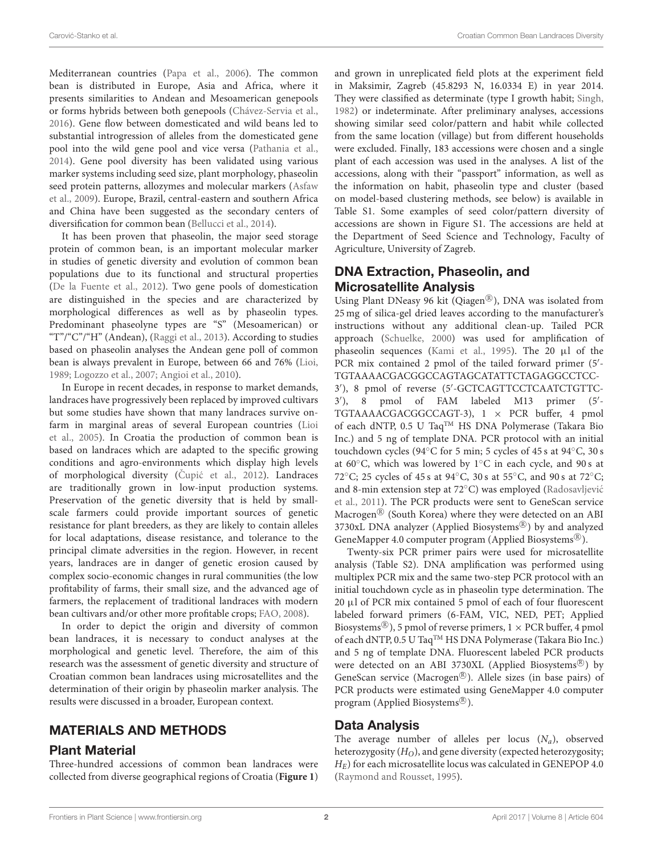Mediterranean countries [\(Papa et al., 2006\)](#page-7-1). The common bean is distributed in Europe, Asia and Africa, where it presents similarities to Andean and Mesoamerican genepools or forms hybrids between both genepools [\(Chávez-Servia et al.,](#page-6-3) [2016\)](#page-6-3). Gene flow between domesticated and wild beans led to substantial introgression of alleles from the domesticated gene pool into the wild gene pool and vice versa [\(Pathania et al.,](#page-7-2) [2014\)](#page-7-2). Gene pool diversity has been validated using various marker systems including seed size, plant morphology, phaseolin seed protein patterns, allozymes and molecular markers (Asfaw et al., [2009\)](#page-6-4). Europe, Brazil, central-eastern and southern Africa and China have been suggested as the secondary centers of diversification for common bean [\(Bellucci et al., 2014\)](#page-6-5).

It has been proven that phaseolin, the major seed storage protein of common bean, is an important molecular marker in studies of genetic diversity and evolution of common bean populations due to its functional and structural properties [\(De la Fuente et al., 2012\)](#page-6-6). Two gene pools of domestication are distinguished in the species and are characterized by morphological differences as well as by phaseolin types. Predominant phaseolyne types are "S" (Mesoamerican) or "T"/"C"/"H" (Andean), [\(Raggi et al., 2013\)](#page-7-3). According to studies based on phaseolin analyses the Andean gene poll of common bean is always prevalent in Europe, between 66 and 76% [\(Lioi,](#page-7-4) [1989;](#page-7-4) [Logozzo et al., 2007;](#page-7-5) [Angioi et al., 2010\)](#page-6-7).

In Europe in recent decades, in response to market demands, landraces have progressively been replaced by improved cultivars but some studies have shown that many landraces survive onfarm in marginal areas of several European countries (Lioi et al., [2005\)](#page-7-6). In Croatia the production of common bean is based on landraces which are adapted to the specific growing conditions and agro-environments which display high levels of morphological diversity (Čupić et al., 2012). Landraces are traditionally grown in low-input production systems. Preservation of the genetic diversity that is held by smallscale farmers could provide important sources of genetic resistance for plant breeders, as they are likely to contain alleles for local adaptations, disease resistance, and tolerance to the principal climate adversities in the region. However, in recent years, landraces are in danger of genetic erosion caused by complex socio-economic changes in rural communities (the low profitability of farms, their small size, and the advanced age of farmers, the replacement of traditional landraces with modern bean cultivars and/or other more profitable crops; [FAO, 2008\)](#page-6-9).

In order to depict the origin and diversity of common bean landraces, it is necessary to conduct analyses at the morphological and genetic level. Therefore, the aim of this research was the assessment of genetic diversity and structure of Croatian common bean landraces using microsatellites and the determination of their origin by phaseolin marker analysis. The results were discussed in a broader, European context.

#### MATERIALS AND METHODS

#### Plant Material

Three-hundred accessions of common bean landraces were collected from diverse geographical regions of Croatia (**[Figure 1](#page-2-0)**) and grown in unreplicated field plots at the experiment field in Maksimir, Zagreb (45.8293 N, 16.0334 E) in year 2014. They were classified as determinate (type I growth habit; [Singh,](#page-7-7) [1982\)](#page-7-7) or indeterminate. After preliminary analyses, accessions showing similar seed color/pattern and habit while collected from the same location (village) but from different households were excluded. Finally, 183 accessions were chosen and a single plant of each accession was used in the analyses. A list of the accessions, along with their "passport" information, as well as the information on habit, phaseolin type and cluster (based on model-based clustering methods, see below) is available in Table S1. Some examples of seed color/pattern diversity of accessions are shown in Figure S1. The accessions are held at the Department of Seed Science and Technology, Faculty of Agriculture, University of Zagreb.

### DNA Extraction, Phaseolin, and Microsatellite Analysis

Using Plant DNeasy 96 kit (Qiagen®), DNA was isolated from 25 mg of silica-gel dried leaves according to the manufacturer's instructions without any additional clean-up. Tailed PCR approach [\(Schuelke, 2000\)](#page-7-8) was used for amplification of phaseolin sequences [\(Kami et al., 1995\)](#page-6-10). The 20 µl of the PCR mix contained 2 pmol of the tailed forward primer (5'-TGTAAAACGACGGCCAGTAGCATATTCTAGAGGCCTCC-3 ′ ), 8 pmol of reverse (5′ -GCTCAGTTCCTCAATCTGTTC-3'), 8 pmol of FAM labeled M13 primer (5'-TGTAAAACGACGGCCAGT-3), 1 × PCR buffer, 4 pmol of each dNTP, 0.5 U TaqTM HS DNA Polymerase (Takara Bio Inc.) and 5 ng of template DNA. PCR protocol with an initial touchdown cycles (94◦C for 5 min; 5 cycles of 45 s at 94◦C, 30 s at 60◦C, which was lowered by 1◦C in each cycle, and 90 s at 72◦C; 25 cycles of 45 s at 94◦C, 30 s at 55◦C, and 90 s at 72◦C; and 8-min extension step at 72◦C) was employed (Radosavljevic´ et al., [2011\)](#page-7-9). The PCR products were sent to GeneScan service Macrogen<sup>®</sup> (South Korea) where they were detected on an ABI 3730xL DNA analyzer (Applied Biosystems®) by and analyzed GeneMapper 4.0 computer program (Applied Biosystems®).

Twenty-six PCR primer pairs were used for microsatellite analysis (Table S2). DNA amplification was performed using multiplex PCR mix and the same two-step PCR protocol with an initial touchdown cycle as in phaseolin type determination. The 20 µl of PCR mix contained 5 pmol of each of four fluorescent labeled forward primers (6-FAM, VIC, NED, PET; Applied Biosystems<sup>®</sup>), 5 pmol of reverse primers,  $1 \times PCR$  buffer, 4 pmol of each dNTP, 0.5 U Taq™ HS DNA Polymerase (Takara Bio Inc.) and 5 ng of template DNA. Fluorescent labeled PCR products were detected on an ABI 3730XL (Applied Biosystems®) by GeneScan service (Macrogen®). Allele sizes (in base pairs) of PCR products were estimated using GeneMapper 4.0 computer program (Applied Biosystems®).

#### Data Analysis

The average number of alleles per locus  $(N_a)$ , observed heterozygosity  $(H<sub>O</sub>)$ , and gene diversity (expected heterozygosity;  $H_E$ ) for each microsatellite locus was calculated in GENEPOP 4.0 [\(Raymond and Rousset, 1995\)](#page-7-10).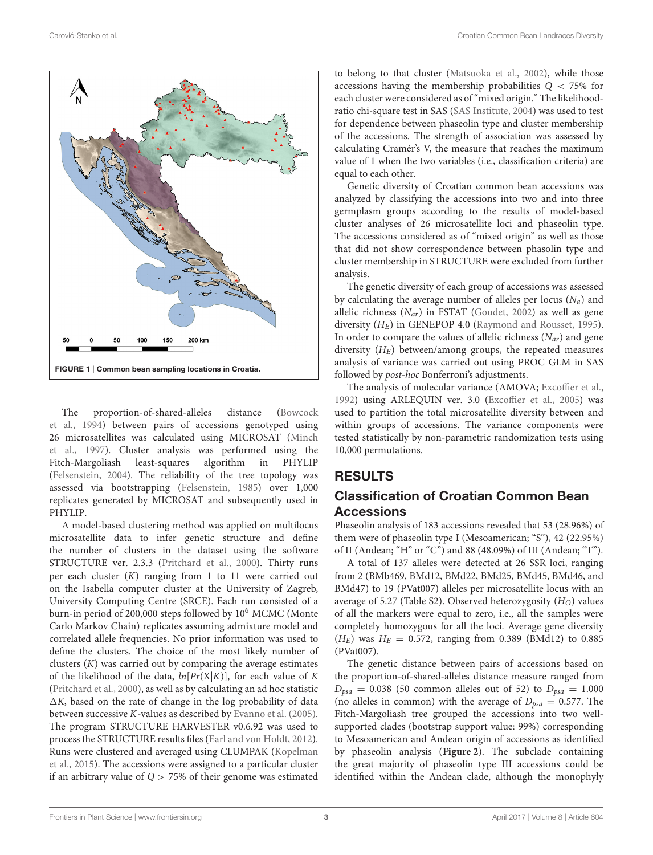

<span id="page-2-0"></span>The proportion-of-shared-alleles distance (Bowcock et al., [1994\)](#page-6-11) between pairs of accessions genotyped using 26 microsatellites was calculated using MICROSAT (Minch et al., [1997\)](#page-7-11). Cluster analysis was performed using the Fitch-Margoliash least-squares algorithm in PHYLIP [\(Felsenstein, 2004\)](#page-6-12). The reliability of the tree topology was assessed via bootstrapping [\(Felsenstein, 1985\)](#page-6-13) over 1,000 replicates generated by MICROSAT and subsequently used in PHYLIP.

A model-based clustering method was applied on multilocus microsatellite data to infer genetic structure and define the number of clusters in the dataset using the software STRUCTURE ver. 2.3.3 [\(Pritchard et al., 2000\)](#page-7-12). Thirty runs per each cluster (K) ranging from 1 to 11 were carried out on the Isabella computer cluster at the University of Zagreb, University Computing Centre (SRCE). Each run consisted of a burn-in period of 200,000 steps followed by 10<sup>6</sup> MCMC (Monte Carlo Markov Chain) replicates assuming admixture model and correlated allele frequencies. No prior information was used to define the clusters. The choice of the most likely number of clusters  $(K)$  was carried out by comparing the average estimates of the likelihood of the data,  $ln[Pr(X|K)]$ , for each value of K [\(Pritchard et al., 2000\)](#page-7-12), as well as by calculating an ad hoc statistic  $\Delta K$ , based on the rate of change in the log probability of data between successive K-values as described by [Evanno et al. \(2005\)](#page-6-14). The program STRUCTURE HARVESTER v0.6.92 was used to process the STRUCTURE results files [\(Earl and von Holdt, 2012\)](#page-6-15). Runs were clustered and averaged using CLUMPAK (Kopelman et al., [2015\)](#page-6-16). The accessions were assigned to a particular cluster if an arbitrary value of  $Q > 75%$  of their genome was estimated

to belong to that cluster [\(Matsuoka et al., 2002\)](#page-7-13), while those accessions having the membership probabilities  $Q < 75\%$  for each cluster were considered as of "mixed origin." The likelihoodratio chi-square test in SAS [\(SAS Institute, 2004\)](#page-7-14) was used to test for dependence between phaseolin type and cluster membership of the accessions. The strength of association was assessed by calculating Cramér's V, the measure that reaches the maximum value of 1 when the two variables (i.e., classification criteria) are equal to each other.

Genetic diversity of Croatian common bean accessions was analyzed by classifying the accessions into two and into three germplasm groups according to the results of model-based cluster analyses of 26 microsatellite loci and phaseolin type. The accessions considered as of "mixed origin" as well as those that did not show correspondence between phasolin type and cluster membership in STRUCTURE were excluded from further analysis.

The genetic diversity of each group of accessions was assessed by calculating the average number of alleles per locus  $(N_a)$  and allelic richness  $(N_{ar})$  in FSTAT [\(Goudet, 2002\)](#page-6-17) as well as gene diversity  $(H_E)$  in GENEPOP 4.0 [\(Raymond and Rousset, 1995\)](#page-7-10). In order to compare the values of allelic richness  $(N_{ar})$  and gene diversity  $(H_E)$  between/among groups, the repeated measures analysis of variance was carried out using PROC GLM in SAS followed by post-hoc Bonferroni's adjustments.

The analysis of molecular variance (AMOVA; [Excoffier et al.,](#page-6-18) [1992\)](#page-6-18) using ARLEQUIN ver. 3.0 [\(Excoffier et al., 2005\)](#page-6-19) was used to partition the total microsatellite diversity between and within groups of accessions. The variance components were tested statistically by non-parametric randomization tests using 10,000 permutations.

### RESULTS

### Classification of Croatian Common Bean Accessions

Phaseolin analysis of 183 accessions revealed that 53 (28.96%) of them were of phaseolin type I (Mesoamerican; "S"), 42 (22.95%) of II (Andean; "H" or "C") and 88 (48.09%) of III (Andean; "T").

A total of 137 alleles were detected at 26 SSR loci, ranging from 2 (BMb469, BMd12, BMd22, BMd25, BMd45, BMd46, and BMd47) to 19 (PVat007) alleles per microsatellite locus with an average of 5.27 (Table S2). Observed heterozygosity  $(H<sub>O</sub>)$  values of all the markers were equal to zero, i.e., all the samples were completely homozygous for all the loci. Average gene diversity  $(H_E)$  was  $H_E = 0.572$ , ranging from 0.389 (BMd12) to 0.885 (PVat007).

The genetic distance between pairs of accessions based on the proportion-of-shared-alleles distance measure ranged from  $D_{psa} = 0.038$  (50 common alleles out of 52) to  $D_{psa} = 1.000$ (no alleles in common) with the average of  $D_{psa} = 0.577$ . The Fitch-Margoliash tree grouped the accessions into two wellsupported clades (bootstrap support value: 99%) corresponding to Mesoamerican and Andean origin of accessions as identified by phaseolin analysis (**[Figure 2](#page-3-0)**). The subclade containing the great majority of phaseolin type III accessions could be identified within the Andean clade, although the monophyly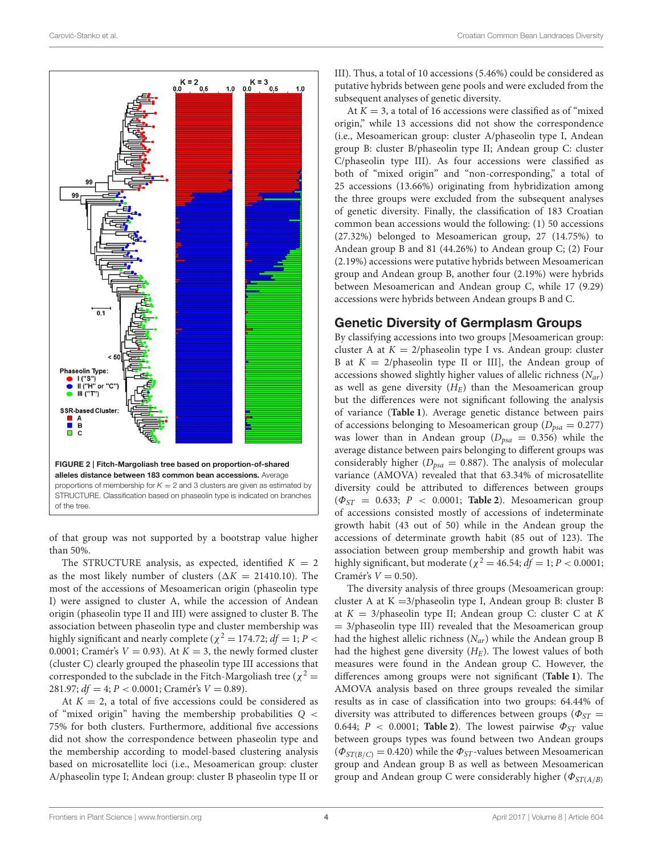

<span id="page-3-0"></span>of that group was not supported by a bootstrap value higher than 50%.

The STRUCTURE analysis, as expected, identified  $K = 2$ as the most likely number of clusters ( $\Delta K = 21410.10$ ). The most of the accessions of Mesoamerican origin (phaseolin type I) were assigned to cluster A, while the accession of Andean origin (phaseolin type II and III) were assigned to cluster B. The association between phaseolin type and cluster membership was highly significant and nearly complete ( $\chi^2 = 174.72$ ;  $df = 1; P <$ 0.0001; Cramér's  $V = 0.93$ ). At  $K = 3$ , the newly formed cluster (cluster C) clearly grouped the phaseolin type III accessions that corresponded to the subclade in the Fitch-Margoliash tree ( $\chi^2$  = 281.97;  $df = 4$ ;  $P < 0.0001$ ; Cramér's  $V = 0.89$ ).

At  $K = 2$ , a total of five accessions could be considered as of "mixed origin" having the membership probabilities Q < 75% for both clusters. Furthermore, additional five accessions did not show the correspondence between phaseolin type and the membership according to model-based clustering analysis based on microsatellite loci (i.e., Mesoamerican group: cluster A/phaseolin type I; Andean group: cluster B phaseolin type II or III). Thus, a total of 10 accessions (5.46%) could be considered as putative hybrids between gene pools and were excluded from the subsequent analyses of genetic diversity.

At  $K = 3$ , a total of 16 accessions were classified as of "mixed" origin," while 13 accessions did not show the correspondence (i.e., Mesoamerican group: cluster A/phaseolin type I, Andean group B: cluster B/phaseolin type II; Andean group C: cluster C/phaseolin type III). As four accessions were classified as both of "mixed origin" and "non-corresponding," a total of 25 accessions (13.66%) originating from hybridization among the three groups were excluded from the subsequent analyses of genetic diversity. Finally, the classification of 183 Croatian common bean accessions would the following: (1) 50 accessions (27.32%) belonged to Mesoamerican group, 27 (14.75%) to Andean group B and 81 (44.26%) to Andean group C; (2) Four (2.19%) accessions were putative hybrids between Mesoamerican group and Andean group B, another four (2.19%) were hybrids between Mesoamerican and Andean group C, while 17 (9.29) accessions were hybrids between Andean groups B and C.

#### Genetic Diversity of Germplasm Groups

By classifying accessions into two groups [Mesoamerican group: cluster A at  $K = 2$ /phaseolin type I vs. Andean group: cluster B at  $K = 2$ /phaseolin type II or III], the Andean group of accessions showed slightly higher values of allelic richness  $(N_{ar})$ as well as gene diversity  $(H_E)$  than the Mesoamerican group but the differences were not significant following the analysis of variance (**[Table 1](#page-4-0)**). Average genetic distance between pairs of accessions belonging to Mesoamerican group ( $D_{psa} = 0.277$ ) was lower than in Andean group ( $D_{psa} = 0.356$ ) while the average distance between pairs belonging to different groups was considerably higher ( $D_{psa} = 0.887$ ). The analysis of molecular variance (AMOVA) revealed that that 63.34% of microsatellite diversity could be attributed to differences between groups  $(\Phi_{ST} = 0.633; P < 0.0001;$  **[Table 2](#page-4-1)**). Mesoamerican group of accessions consisted mostly of accessions of indeterminate growth habit (43 out of 50) while in the Andean group the accessions of determinate growth habit (85 out of 123). The association between group membership and growth habit was highly significant, but moderate ( $\chi^2 = 46.54$ ;  $df = 1$ ;  $P < 0.0001$ ; Cramér's  $V = 0.50$ ).

The diversity analysis of three groups (Mesoamerican group: cluster A at K =3/phaseolin type I, Andean group B: cluster B at  $K = 3$ /phaseolin type II; Andean group C: cluster C at K  $= 3$ /phaseolin type III) revealed that the Mesoamerican group had the highest allelic richness  $(N_{ar})$  while the Andean group B had the highest gene diversity  $(H_E)$ . The lowest values of both measures were found in the Andean group C. However, the differences among groups were not significant (**[Table 1](#page-4-0)**). The AMOVA analysis based on three groups revealed the similar results as in case of classification into two groups: 64.44% of diversity was attributed to differences between groups ( $\Phi_{ST}$  = 0.644;  $P < 0.0001$ ; **[Table 2](#page-4-1)**). The lowest pairwise  $\Phi_{ST}$  value between groups types was found between two Andean groups  $(\Phi_{ST(B/C)} = 0.420)$  while the  $\Phi_{ST}$ -values between Mesoamerican group and Andean group B as well as between Mesoamerican group and Andean group C were considerably higher ( $\Phi_{ST(A/B)}$ )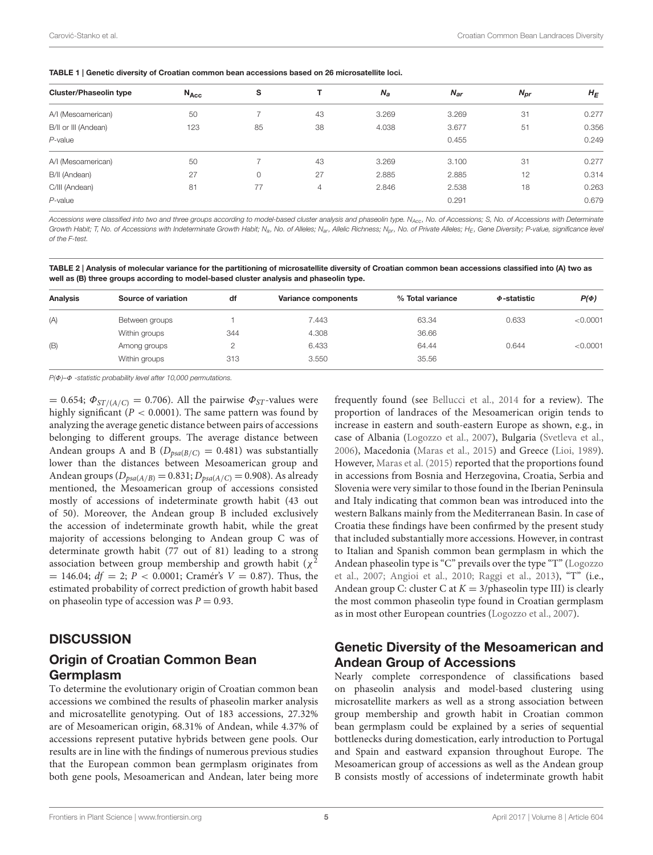<span id="page-4-0"></span>

| <b>Cluster/Phaseolin type</b> | $N_{Acc}$ | s  |    | $N_a$ | $N_{\rm ar}$ | $N_{\text{pr}}$ | $H_E$ |
|-------------------------------|-----------|----|----|-------|--------------|-----------------|-------|
| A/I (Mesoamerican)            | 50        |    | 43 | 3.269 | 3.269        | 31              | 0.277 |
| B/II or III (Andean)          | 123       | 85 | 38 | 4.038 | 3.677        | 51              | 0.356 |
| $P$ -value                    |           |    |    |       | 0.455        |                 | 0.249 |
| A/I (Mesoamerican)            | 50        |    | 43 | 3.269 | 3.100        | 31              | 0.277 |
| B/II (Andean)                 | 27        | 0  | 27 | 2.885 | 2.885        | 12              | 0.314 |
| C/III (Andean)                | 81        | 77 | 4  | 2.846 | 2.538        | 18              | 0.263 |
| $P$ -value                    |           |    |    |       | 0.291        |                 | 0.679 |
|                               |           |    |    |       |              |                 |       |

Accessions were classified into two and three groups according to model-based cluster analysis and phaseolin type. N<sub>Acc</sub>, No. of Accessions; S, No. of Accessions with Determinate Growth Habit; T, No. of Accessions with Indeterminate Growth Habit; N<sub>a</sub>, No. of Alleles; N<sub>ar</sub>, Allelic Richness; N<sub>pr</sub>, No. of Private Alleles; H<sub>E</sub>, Gene Diversity; P-value, significance level of the F-test.

<span id="page-4-1"></span>TABLE 2 | Analysis of molecular variance for the partitioning of microsatellite diversity of Croatian common bean accessions classified into (A) two as well as (B) three groups according to model-based cluster analysis and phaseolin type.

| Analysis | Source of variation | df  | Variance components | % Total variance | $\Phi$ -statistic | $P(\Phi)$ |
|----------|---------------------|-----|---------------------|------------------|-------------------|-----------|
| (A)      | Between groups      |     | 7.443               | 63.34            | 0.633             | < 0.0001  |
|          | Within groups       | 344 | 4.308               | 36.66            |                   |           |
| (B)      | Among groups        |     | 6.433               | 64.44            | 0.644             | < 0.0001  |
|          | Within groups       | 313 | 3.550               | 35.56            |                   |           |

P(Φ)–Φ -statistic probability level after 10,000 permutations.

 $= 0.654$ ;  $\Phi_{ST/(A/C)} = 0.706$ . All the pairwise  $\Phi_{ST}$ -values were highly significant ( $P < 0.0001$ ). The same pattern was found by analyzing the average genetic distance between pairs of accessions belonging to different groups. The average distance between Andean groups A and B ( $D_{psa(B/C)} = 0.481$ ) was substantially lower than the distances between Mesoamerican group and Andean groups  $(D_{psa(A/B)} = 0.831; D_{psa(A/C)} = 0.908)$ . As already mentioned, the Mesoamerican group of accessions consisted mostly of accessions of indeterminate growth habit (43 out of 50). Moreover, the Andean group B included exclusively the accession of indeterminate growth habit, while the great majority of accessions belonging to Andean group C was of determinate growth habit (77 out of 81) leading to a strong association between group membership and growth habit ( $\chi^2$  $= 146.04$ ;  $df = 2$ ;  $P < 0.0001$ ; Cramér's  $V = 0.87$ ). Thus, the estimated probability of correct prediction of growth habit based on phaseolin type of accession was  $P = 0.93$ .

#### **DISCUSSION**

### Origin of Croatian Common Bean Germplasm

To determine the evolutionary origin of Croatian common bean accessions we combined the results of phaseolin marker analysis and microsatellite genotyping. Out of 183 accessions, 27.32% are of Mesoamerican origin, 68.31% of Andean, while 4.37% of accessions represent putative hybrids between gene pools. Our results are in line with the findings of numerous previous studies that the European common bean germplasm originates from both gene pools, Mesoamerican and Andean, later being more frequently found (see [Bellucci et al., 2014](#page-6-5) for a review). The proportion of landraces of the Mesoamerican origin tends to increase in eastern and south-eastern Europe as shown, e.g., in case of Albania [\(Logozzo et al., 2007\)](#page-7-5), Bulgaria [\(Svetleva et al.,](#page-7-15) [2006\)](#page-7-15), Macedonia [\(Maras et al., 2015\)](#page-7-16) and Greece [\(Lioi, 1989\)](#page-7-4). However, [Maras et al. \(2015\)](#page-7-16) reported that the proportions found in accessions from Bosnia and Herzegovina, Croatia, Serbia and Slovenia were very similar to those found in the Iberian Peninsula and Italy indicating that common bean was introduced into the western Balkans mainly from the Mediterranean Basin. In case of Croatia these findings have been confirmed by the present study that included substantially more accessions. However, in contrast to Italian and Spanish common bean germplasm in which the Andean phaseolin type is "C" prevails over the type "T" (Logozzo et al., [2007;](#page-7-5) [Angioi et al., 2010;](#page-6-7) [Raggi et al., 2013\)](#page-7-3), "T" (i.e., Andean group C: cluster C at  $K = 3$ /phaseolin type III) is clearly the most common phaseolin type found in Croatian germplasm as in most other European countries [\(Logozzo et al., 2007\)](#page-7-5).

### Genetic Diversity of the Mesoamerican and Andean Group of Accessions

Nearly complete correspondence of classifications based on phaseolin analysis and model-based clustering using microsatellite markers as well as a strong association between group membership and growth habit in Croatian common bean germplasm could be explained by a series of sequential bottlenecks during domestication, early introduction to Portugal and Spain and eastward expansion throughout Europe. The Mesoamerican group of accessions as well as the Andean group B consists mostly of accessions of indeterminate growth habit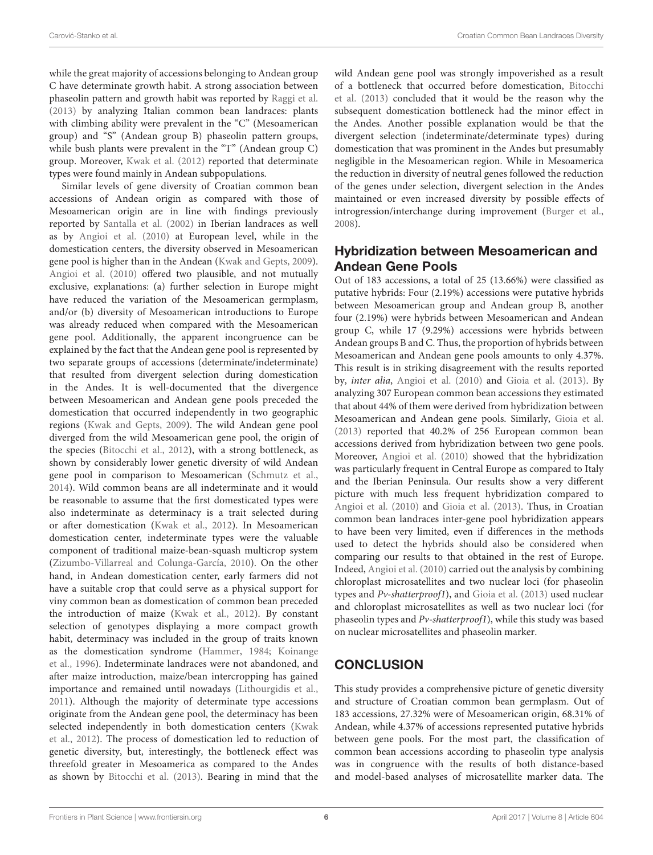while the great majority of accessions belonging to Andean group C have determinate growth habit. A strong association between phaseolin pattern and growth habit was reported by [Raggi et al.](#page-7-3) [\(2013\)](#page-7-3) by analyzing Italian common bean landraces: plants with climbing ability were prevalent in the "C" (Mesoamerican group) and "S" (Andean group B) phaseolin pattern groups, while bush plants were prevalent in the "T" (Andean group C) group. Moreover, [Kwak et al. \(2012\)](#page-6-20) reported that determinate types were found mainly in Andean subpopulations.

Similar levels of gene diversity of Croatian common bean accessions of Andean origin as compared with those of Mesoamerican origin are in line with findings previously reported by [Santalla et al. \(2002\)](#page-7-17) in Iberian landraces as well as by [Angioi et al. \(2010\)](#page-6-7) at European level, while in the domestication centers, the diversity observed in Mesoamerican gene pool is higher than in the Andean [\(Kwak and Gepts, 2009\)](#page-6-21). [Angioi et al. \(2010\)](#page-6-7) offered two plausible, and not mutually exclusive, explanations: (a) further selection in Europe might have reduced the variation of the Mesoamerican germplasm, and/or (b) diversity of Mesoamerican introductions to Europe was already reduced when compared with the Mesoamerican gene pool. Additionally, the apparent incongruence can be explained by the fact that the Andean gene pool is represented by two separate groups of accessions (determinate/indeterminate) that resulted from divergent selection during domestication in the Andes. It is well-documented that the divergence between Mesoamerican and Andean gene pools preceded the domestication that occurred independently in two geographic regions [\(Kwak and Gepts, 2009\)](#page-6-21). The wild Andean gene pool diverged from the wild Mesoamerican gene pool, the origin of the species [\(Bitocchi et al., 2012\)](#page-6-22), with a strong bottleneck, as shown by considerably lower genetic diversity of wild Andean gene pool in comparison to Mesoamerican [\(Schmutz et al.,](#page-7-18) [2014\)](#page-7-18). Wild common beans are all indeterminate and it would be reasonable to assume that the first domesticated types were also indeterminate as determinacy is a trait selected during or after domestication [\(Kwak et al., 2012\)](#page-6-20). In Mesoamerican domestication center, indeterminate types were the valuable component of traditional maize-bean-squash multicrop system [\(Zizumbo-Villarreal and Colunga-García, 2010\)](#page-7-19). On the other hand, in Andean domestication center, early farmers did not have a suitable crop that could serve as a physical support for viny common bean as domestication of common bean preceded the introduction of maize [\(Kwak et al., 2012\)](#page-6-20). By constant selection of genotypes displaying a more compact growth habit, determinacy was included in the group of traits known as the domestication syndrome [\(Hammer, 1984;](#page-6-23) Koinange et al., [1996\)](#page-6-24). Indeterminate landraces were not abandoned, and after maize introduction, maize/bean intercropping has gained importance and remained until nowadays [\(Lithourgidis et al.,](#page-7-20) [2011\)](#page-7-20). Although the majority of determinate type accessions originate from the Andean gene pool, the determinacy has been selected independently in both domestication centers (Kwak et al., [2012\)](#page-6-20). The process of domestication led to reduction of genetic diversity, but, interestingly, the bottleneck effect was threefold greater in Mesoamerica as compared to the Andes as shown by [Bitocchi et al. \(2013\)](#page-6-25). Bearing in mind that the wild Andean gene pool was strongly impoverished as a result of a bottleneck that occurred before domestication, Bitocchi et al. [\(2013\)](#page-6-25) concluded that it would be the reason why the subsequent domestication bottleneck had the minor effect in the Andes. Another possible explanation would be that the divergent selection (indeterminate/determinate types) during domestication that was prominent in the Andes but presumably negligible in the Mesoamerican region. While in Mesoamerica the reduction in diversity of neutral genes followed the reduction of the genes under selection, divergent selection in the Andes maintained or even increased diversity by possible effects of introgression/interchange during improvement [\(Burger et al.,](#page-6-26) [2008\)](#page-6-26).

### Hybridization between Mesoamerican and Andean Gene Pools

Out of 183 accessions, a total of 25 (13.66%) were classified as putative hybrids: Four (2.19%) accessions were putative hybrids between Mesoamerican group and Andean group B, another four (2.19%) were hybrids between Mesoamerican and Andean group C, while 17 (9.29%) accessions were hybrids between Andean groups B and C. Thus, the proportion of hybrids between Mesoamerican and Andean gene pools amounts to only 4.37%. This result is in striking disagreement with the results reported by, inter alia, [Angioi et al. \(2010\)](#page-6-7) and [Gioia et al. \(2013\)](#page-6-2). By analyzing 307 European common bean accessions they estimated that about 44% of them were derived from hybridization between Mesoamerican and Andean gene pools. Similarly, [Gioia et al.](#page-6-2) [\(2013\)](#page-6-2) reported that 40.2% of 256 European common bean accessions derived from hybridization between two gene pools. Moreover, [Angioi et al. \(2010\)](#page-6-7) showed that the hybridization was particularly frequent in Central Europe as compared to Italy and the Iberian Peninsula. Our results show a very different picture with much less frequent hybridization compared to [Angioi et al. \(2010\)](#page-6-7) and [Gioia et al. \(2013\)](#page-6-2). Thus, in Croatian common bean landraces inter-gene pool hybridization appears to have been very limited, even if differences in the methods used to detect the hybrids should also be considered when comparing our results to that obtained in the rest of Europe. Indeed, [Angioi et al. \(2010\)](#page-6-7) carried out the analysis by combining chloroplast microsatellites and two nuclear loci (for phaseolin types and Pv-shatterproof1), and [Gioia et al. \(2013\)](#page-6-2) used nuclear and chloroplast microsatellites as well as two nuclear loci (for phaseolin types and Pv-shatterproof1), while this study was based on nuclear microsatellites and phaseolin marker.

## **CONCLUSION**

This study provides a comprehensive picture of genetic diversity and structure of Croatian common bean germplasm. Out of 183 accessions, 27.32% were of Mesoamerican origin, 68.31% of Andean, while 4.37% of accessions represented putative hybrids between gene pools. For the most part, the classification of common bean accessions according to phaseolin type analysis was in congruence with the results of both distance-based and model-based analyses of microsatellite marker data. The